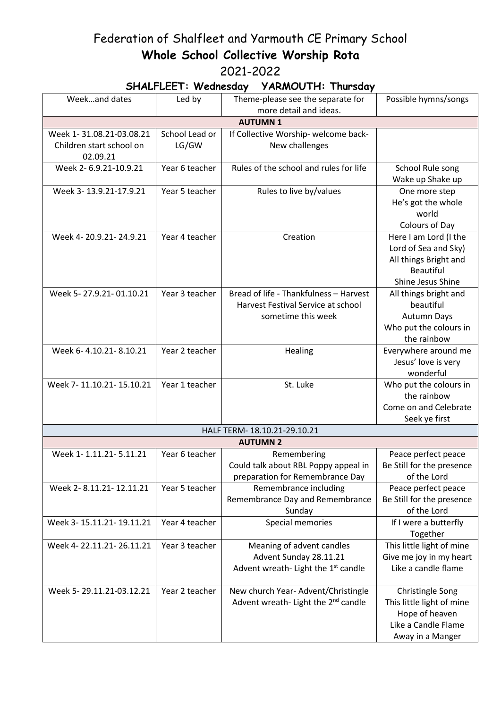# Federation of Shalfleet and Yarmouth CE Primary School **Whole School Collective Worship Rota**

#### 2021-2022

#### **SHALFLEET: Wednesday YARMOUTH: Thursday**

| Weekand dates                        | Led by         | Theme-please see the separate for               | Possible hymns/songs                          |  |  |
|--------------------------------------|----------------|-------------------------------------------------|-----------------------------------------------|--|--|
|                                      |                | more detail and ideas.                          |                                               |  |  |
| <b>AUTUMN1</b>                       |                |                                                 |                                               |  |  |
| Week 1-31.08.21-03.08.21             | School Lead or | If Collective Worship- welcome back-            |                                               |  |  |
| Children start school on<br>02.09.21 | LG/GW          | New challenges                                  |                                               |  |  |
| Week 2-6.9.21-10.9.21                | Year 6 teacher | Rules of the school and rules for life          |                                               |  |  |
|                                      |                |                                                 | School Rule song<br>Wake up Shake up          |  |  |
| Week 3-13.9.21-17.9.21               | Year 5 teacher |                                                 |                                               |  |  |
|                                      |                | Rules to live by/values                         | One more step                                 |  |  |
|                                      |                |                                                 | He's got the whole<br>world                   |  |  |
|                                      |                |                                                 |                                               |  |  |
|                                      |                |                                                 | Colours of Day                                |  |  |
| Week 4-20.9.21-24.9.21               | Year 4 teacher | Creation                                        | Here I am Lord (I the                         |  |  |
|                                      |                |                                                 | Lord of Sea and Sky)<br>All things Bright and |  |  |
|                                      |                |                                                 | <b>Beautiful</b>                              |  |  |
|                                      |                |                                                 | Shine Jesus Shine                             |  |  |
| Week 5-27.9.21-01.10.21              | Year 3 teacher | Bread of life - Thankfulness - Harvest          | All things bright and                         |  |  |
|                                      |                | Harvest Festival Service at school              | beautiful                                     |  |  |
|                                      |                | sometime this week                              | <b>Autumn Days</b>                            |  |  |
|                                      |                |                                                 | Who put the colours in                        |  |  |
|                                      |                |                                                 | the rainbow                                   |  |  |
| Week 6-4.10.21-8.10.21               | Year 2 teacher |                                                 | Everywhere around me                          |  |  |
|                                      |                | Healing                                         | Jesus' love is very                           |  |  |
|                                      |                |                                                 | wonderful                                     |  |  |
| Week 7-11.10.21-15.10.21             | Year 1 teacher | St. Luke                                        | Who put the colours in                        |  |  |
|                                      |                |                                                 | the rainbow                                   |  |  |
|                                      |                |                                                 | Come on and Celebrate                         |  |  |
|                                      |                |                                                 | Seek ye first                                 |  |  |
|                                      |                | HALF TERM- 18.10.21-29.10.21                    |                                               |  |  |
| <b>AUTUMN 2</b>                      |                |                                                 |                                               |  |  |
| Week 1-1.11.21-5.11.21               | Year 6 teacher | Remembering                                     | Peace perfect peace                           |  |  |
|                                      |                | Could talk about RBL Poppy appeal in            | Be Still for the presence                     |  |  |
|                                      |                | preparation for Remembrance Day                 | of the Lord                                   |  |  |
| Week 2-8.11.21-12.11.21              | Year 5 teacher | Remembrance including                           | Peace perfect peace                           |  |  |
|                                      |                | Remembrance Day and Remembrance                 | Be Still for the presence                     |  |  |
|                                      |                | Sunday                                          | of the Lord                                   |  |  |
| Week 3-15.11.21-19.11.21             | Year 4 teacher | Special memories                                | If I were a butterfly                         |  |  |
|                                      |                |                                                 | Together                                      |  |  |
| Week 4-22.11.21-26.11.21             | Year 3 teacher | Meaning of advent candles                       | This little light of mine                     |  |  |
|                                      |                | Advent Sunday 28.11.21                          | Give me joy in my heart                       |  |  |
|                                      |                | Advent wreath-Light the 1 <sup>st</sup> candle  | Like a candle flame                           |  |  |
|                                      |                |                                                 |                                               |  |  |
| Week 5-29.11.21-03.12.21             | Year 2 teacher | New church Year- Advent/Christingle             | Christingle Song                              |  |  |
|                                      |                | Advent wreath- Light the 2 <sup>nd</sup> candle | This little light of mine                     |  |  |
|                                      |                |                                                 | Hope of heaven                                |  |  |
|                                      |                |                                                 | Like a Candle Flame                           |  |  |
|                                      |                |                                                 | Away in a Manger                              |  |  |
|                                      |                |                                                 |                                               |  |  |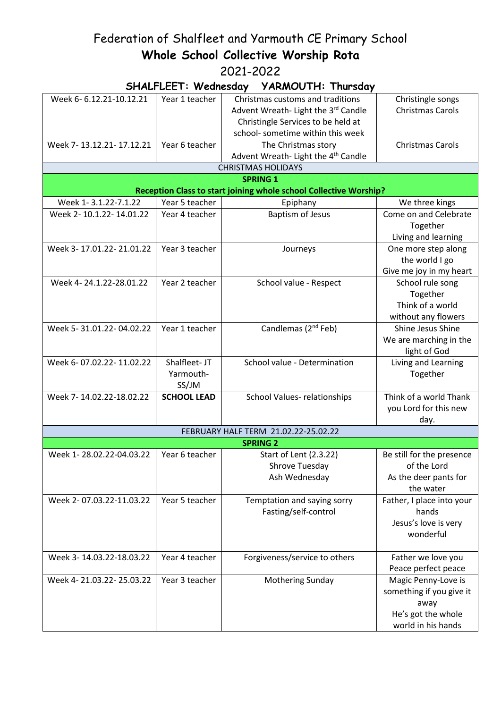## Federation of Shalfleet and Yarmouth CE Primary School **Whole School Collective Worship Rota**

#### 2021-2022

| Week 6-6.12.21-10.12.21                                           | Year 1 teacher                     | Christmas customs and traditions<br>Advent Wreath- Light the 3rd Candle<br>Christingle Services to be held at<br>school- sometime within this week | Christingle songs<br><b>Christmas Carols</b>                                                        |  |  |  |
|-------------------------------------------------------------------|------------------------------------|----------------------------------------------------------------------------------------------------------------------------------------------------|-----------------------------------------------------------------------------------------------------|--|--|--|
| Week 7-13.12.21-17.12.21                                          | Year 6 teacher                     | The Christmas story<br>Advent Wreath- Light the 4 <sup>th</sup> Candle                                                                             | <b>Christmas Carols</b>                                                                             |  |  |  |
|                                                                   |                                    | <b>CHRISTMAS HOLIDAYS</b>                                                                                                                          |                                                                                                     |  |  |  |
|                                                                   |                                    | <b>SPRING 1</b>                                                                                                                                    |                                                                                                     |  |  |  |
| Reception Class to start joining whole school Collective Worship? |                                    |                                                                                                                                                    |                                                                                                     |  |  |  |
| Week 1-3.1.22-7.1.22                                              | Year 5 teacher                     | Epiphany                                                                                                                                           | We three kings                                                                                      |  |  |  |
| Week 2-10.1.22-14.01.22                                           | Year 4 teacher                     | <b>Baptism of Jesus</b>                                                                                                                            | Come on and Celebrate<br>Together<br>Living and learning                                            |  |  |  |
| Week 3-17.01.22-21.01.22                                          | Year 3 teacher                     | Journeys                                                                                                                                           | One more step along<br>the world I go<br>Give me joy in my heart                                    |  |  |  |
| Week 4-24.1.22-28.01.22                                           | Year 2 teacher                     | School value - Respect                                                                                                                             | School rule song<br>Together<br>Think of a world<br>without any flowers                             |  |  |  |
| Week 5-31.01.22-04.02.22                                          | Year 1 teacher                     | Candlemas (2 <sup>nd</sup> Feb)                                                                                                                    | Shine Jesus Shine<br>We are marching in the<br>light of God                                         |  |  |  |
| Week 6-07.02.22-11.02.22                                          | Shalfleet-JT<br>Yarmouth-<br>SS/JM | School value - Determination                                                                                                                       | Living and Learning<br>Together                                                                     |  |  |  |
| Week 7-14.02.22-18.02.22                                          | <b>SCHOOL LEAD</b>                 | School Values-relationships                                                                                                                        | Think of a world Thank<br>you Lord for this new<br>day.                                             |  |  |  |
| FEBRUARY HALF TERM 21.02.22-25.02.22                              |                                    |                                                                                                                                                    |                                                                                                     |  |  |  |
| <b>SPRING 2</b>                                                   |                                    |                                                                                                                                                    |                                                                                                     |  |  |  |
| Week 1-28.02.22-04.03.22 Year 6 teacher                           |                                    | Start of Lent (2.3.22)<br>Shrove Tuesday<br>Ash Wednesday                                                                                          | Be still for the presence<br>of the Lord<br>As the deer pants for<br>the water                      |  |  |  |
| Week 2-07.03.22-11.03.22                                          | Year 5 teacher                     | Temptation and saying sorry<br>Fasting/self-control                                                                                                | Father, I place into your<br>hands<br>Jesus's love is very<br>wonderful                             |  |  |  |
| Week 3-14.03.22-18.03.22                                          | Year 4 teacher                     | Forgiveness/service to others                                                                                                                      | Father we love you<br>Peace perfect peace                                                           |  |  |  |
| Week 4-21.03.22-25.03.22                                          | Year 3 teacher                     | Mothering Sunday                                                                                                                                   | Magic Penny-Love is<br>something if you give it<br>away<br>He's got the whole<br>world in his hands |  |  |  |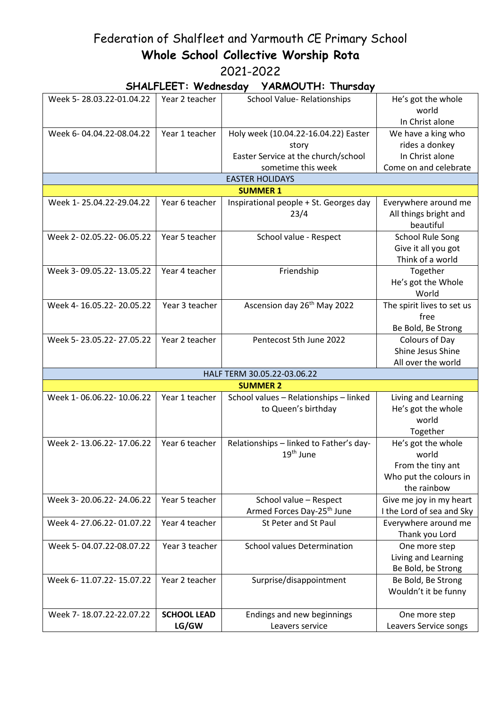### Federation of Shalfleet and Yarmouth CE Primary School **Whole School Collective Worship Rota**  2021-2022

#### **SHALFLEET: Wednesday YARMOUTH: Thursday**

| .                        |                    |                                         |                                        |
|--------------------------|--------------------|-----------------------------------------|----------------------------------------|
| Week 5-28.03.22-01.04.22 | Year 2 teacher     | School Value-Relationships              | He's got the whole<br>world            |
|                          |                    |                                         | In Christ alone                        |
| Week 6-04.04.22-08.04.22 | Year 1 teacher     | Holy week (10.04.22-16.04.22) Easter    | We have a king who                     |
|                          |                    | story                                   | rides a donkey                         |
|                          |                    | Easter Service at the church/school     | In Christ alone                        |
|                          |                    | sometime this week                      | Come on and celebrate                  |
|                          |                    | <b>EASTER HOLIDAYS</b>                  |                                        |
|                          |                    | <b>SUMMER 1</b>                         |                                        |
| Week 1-25.04.22-29.04.22 | Year 6 teacher     | Inspirational people + St. Georges day  | Everywhere around me                   |
|                          |                    | 23/4                                    | All things bright and                  |
|                          |                    |                                         | beautiful                              |
| Week 2-02.05.22-06.05.22 | Year 5 teacher     | School value - Respect                  | <b>School Rule Song</b>                |
|                          |                    |                                         | Give it all you got                    |
|                          |                    |                                         | Think of a world                       |
| Week 3-09.05.22-13.05.22 | Year 4 teacher     | Friendship                              | Together                               |
|                          |                    |                                         | He's got the Whole                     |
|                          |                    |                                         | World                                  |
| Week 4-16.05.22-20.05.22 | Year 3 teacher     | Ascension day 26 <sup>th</sup> May 2022 | The spirit lives to set us             |
|                          |                    |                                         | free                                   |
|                          |                    |                                         | Be Bold, Be Strong                     |
| Week 5-23.05.22-27.05.22 | Year 2 teacher     | Pentecost 5th June 2022                 | Colours of Day                         |
|                          |                    |                                         | Shine Jesus Shine                      |
|                          |                    |                                         | All over the world                     |
|                          |                    | HALF TERM 30.05.22-03.06.22             |                                        |
|                          |                    | <b>SUMMER 2</b>                         |                                        |
| Week 1-06.06.22-10.06.22 | Year 1 teacher     | School values - Relationships - linked  | Living and Learning                    |
|                          |                    | to Queen's birthday                     | He's got the whole                     |
|                          |                    |                                         | world                                  |
|                          |                    |                                         | Together                               |
| Week 2-13.06.22-17.06.22 | Year 6 teacher     | Relationships - linked to Father's day- | He's got the whole                     |
|                          |                    | $19th$ June                             | world                                  |
|                          |                    |                                         | From the tiny ant                      |
|                          |                    |                                         | Who put the colours in                 |
|                          |                    |                                         | the rainbow                            |
| Week 3-20.06.22-24.06.22 | Year 5 teacher     | School value - Respect                  | Give me joy in my heart                |
|                          |                    | Armed Forces Day-25 <sup>th</sup> June  | I the Lord of sea and Sky              |
| Week 4-27.06.22-01.07.22 | Year 4 teacher     | St Peter and St Paul                    |                                        |
|                          |                    |                                         | Everywhere around me<br>Thank you Lord |
| Week 5-04.07.22-08.07.22 | Year 3 teacher     | <b>School values Determination</b>      | One more step                          |
|                          |                    |                                         | Living and Learning                    |
|                          |                    |                                         | Be Bold, be Strong                     |
| Week 6-11.07.22-15.07.22 | Year 2 teacher     |                                         |                                        |
|                          |                    | Surprise/disappointment                 | Be Bold, Be Strong                     |
|                          |                    |                                         | Wouldn't it be funny                   |
| Week 7-18.07.22-22.07.22 | <b>SCHOOL LEAD</b> | Endings and new beginnings              | One more step                          |
|                          | LG/GW              | Leavers service                         | Leavers Service songs                  |
|                          |                    |                                         |                                        |